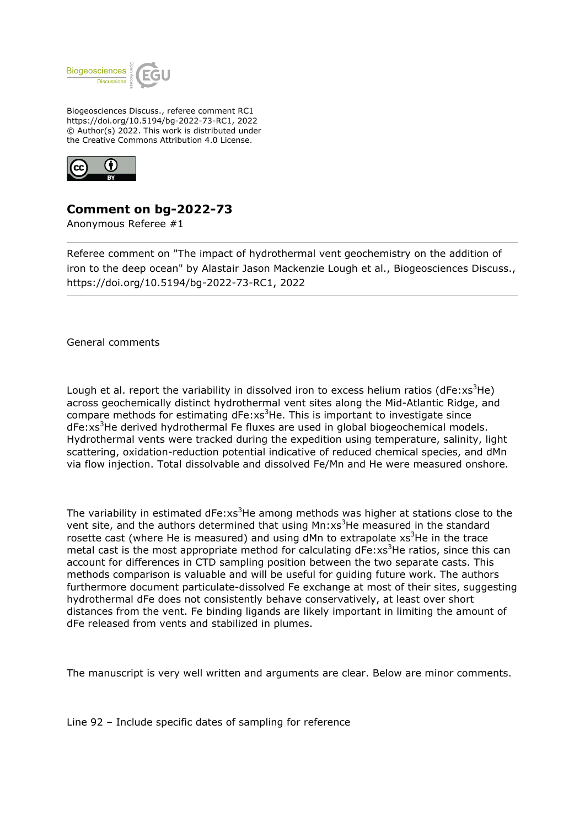

Biogeosciences Discuss., referee comment RC1 https://doi.org/10.5194/bg-2022-73-RC1, 2022 © Author(s) 2022. This work is distributed under the Creative Commons Attribution 4.0 License.



## **Comment on bg-2022-73**

Anonymous Referee #1

Referee comment on "The impact of hydrothermal vent geochemistry on the addition of iron to the deep ocean" by Alastair Jason Mackenzie Lough et al., Biogeosciences Discuss., https://doi.org/10.5194/bg-2022-73-RC1, 2022

General comments

Lough et al. report the variability in dissolved iron to excess helium ratios (dFe: $x^3$ He) across geochemically distinct hydrothermal vent sites along the Mid-Atlantic Ridge, and compare methods for estimating  $dFe:xs^3He$ . This is important to investigate since dFe:xs<sup>3</sup>He derived hydrothermal Fe fluxes are used in global biogeochemical models. Hydrothermal vents were tracked during the expedition using temperature, salinity, light scattering, oxidation-reduction potential indicative of reduced chemical species, and dMn via flow injection. Total dissolvable and dissolved Fe/Mn and He were measured onshore.

The variability in estimated  $dFe:xs^3He$  among methods was higher at stations close to the vent site, and the authors determined that using  $Mn:xs<sup>3</sup>$ He measured in the standard rosette cast (where He is measured) and using dMn to extrapolate  $xs^3$ He in the trace metal cast is the most appropriate method for calculating  $dFe:xs^3He$  ratios, since this can account for differences in CTD sampling position between the two separate casts. This methods comparison is valuable and will be useful for guiding future work. The authors furthermore document particulate-dissolved Fe exchange at most of their sites, suggesting hydrothermal dFe does not consistently behave conservatively, at least over short distances from the vent. Fe binding ligands are likely important in limiting the amount of dFe released from vents and stabilized in plumes.

The manuscript is very well written and arguments are clear. Below are minor comments.

Line 92 – Include specific dates of sampling for reference